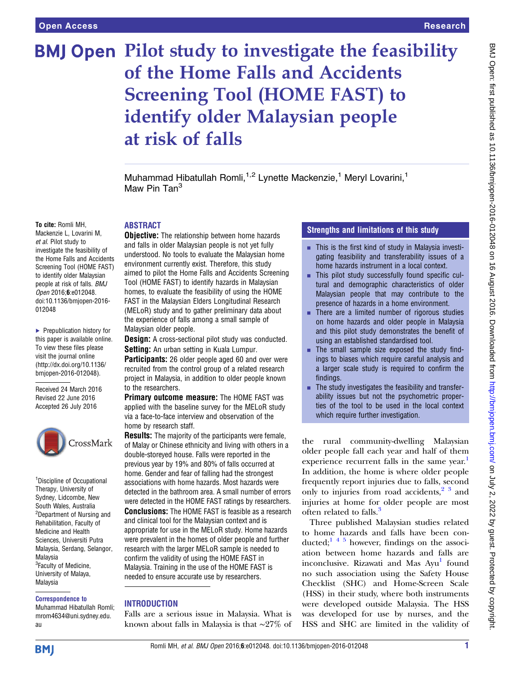# **BMJ Open Pilot study to investigate the feasibility** of the Home Falls and Accidents Screening Tool (HOME FAST) to identify older Malaysian people at risk of falls

Muhammad Hibatullah Romli,<sup>1,2</sup> Lynette Mackenzie,<sup>1</sup> Meryl Lovarini,<sup>1</sup> Maw Pin Tan<sup>3</sup>

To cite: Romli MH, Mackenzie L, Lovarini M, et al. Pilot study to investigate the feasibility of the Home Falls and Accidents Screening Tool (HOME FAST) to identify older Malaysian people at risk of falls. BMJ Open 2016;6:e012048. doi:10.1136/bmjopen-2016- 012048

▶ Prepublication history for this paper is available online. To view these files please visit the journal online [\(http://dx.doi.org/10.1136/](http://dx.doi.org/10.1136/bmjopen-2016-012048) [bmjopen-2016-012048](http://dx.doi.org/10.1136/bmjopen-2016-012048)).

Received 24 March 2016 Revised 22 June 2016 Accepted 26 July 2016



<sup>1</sup> Discipline of Occupational Therapy, University of Sydney, Lidcombe, New South Wales, Australia <sup>2</sup>Department of Nursing and Rehabilitation, Faculty of Medicine and Health Sciences, Universiti Putra Malaysia, Serdang, Selangor, Malaysia <sup>3</sup>Faculty of Medicine, University of Malaya, Malaysia

#### Correspondence to

Muhammad Hibatullah Romli; mrom4634@uni.sydney.edu. au

# ABSTRACT

**Objective:** The relationship between home hazards and falls in older Malaysian people is not yet fully understood. No tools to evaluate the Malaysian home environment currently exist. Therefore, this study aimed to pilot the Home Falls and Accidents Screening Tool (HOME FAST) to identify hazards in Malaysian homes, to evaluate the feasibility of using the HOME FAST in the Malaysian Elders Longitudinal Research (MELoR) study and to gather preliminary data about the experience of falls among a small sample of Malaysian older people.

**Design:** A cross-sectional pilot study was conducted. Setting: An urban setting in Kuala Lumpur.

**Participants:** 26 older people aged 60 and over were recruited from the control group of a related research project in Malaysia, in addition to older people known to the researchers.

**Primary outcome measure:** The HOME FAST was applied with the baseline survey for the MELoR study via a face-to-face interview and observation of the home by research staff.

**Results:** The majority of the participants were female, of Malay or Chinese ethnicity and living with others in a double-storeyed house. Falls were reported in the previous year by 19% and 80% of falls occurred at home. Gender and fear of falling had the strongest associations with home hazards. Most hazards were detected in the bathroom area. A small number of errors were detected in the HOME FAST ratings by researchers. Conclusions: The HOME FAST is feasible as a research

and clinical tool for the Malaysian context and is appropriate for use in the MELoR study. Home hazards were prevalent in the homes of older people and further research with the larger MELoR sample is needed to confirm the validity of using the HOME FAST in Malaysia. Training in the use of the HOME FAST is needed to ensure accurate use by researchers.

#### INTRODUCTION

Falls are a serious issue in Malaysia. What is known about falls in Malaysia is that ∼27% of

## Strengths and limitations of this study

- **EXTER 15 This is the first kind of study in Malaysia investi**gating feasibility and transferability issues of a home hazards instrument in a local context.
- **EXECUTE:** This pilot study successfully found specific cultural and demographic characteristics of older Malaysian people that may contribute to the presence of hazards in a home environment.
- **EXTERNAL EXTERNAL EXTERNAL EXTERNAL EXTERNAL EXTERNAL EXTERNAL EXTERNAL EXTERNAL EXTERNAL EXTERNAL EXTERNAL EXTERNAL EXTERNAL EXTERNAL EXTERNAL EXTERNAL EXTERNAL EXTERNAL EXTERNAL EXTERNAL EXTERNAL EXTERNAL EXTERNAL EXTER** on home hazards and older people in Malaysia and this pilot study demonstrates the benefit of using an established standardised tool.
- $\blacksquare$  The small sample size exposed the study findings to biases which require careful analysis and a larger scale study is required to confirm the findings.
- $\blacksquare$  The study investigates the feasibility and transferability issues but not the psychometric properties of the tool to be used in the local context which require further investigation.

the rural community-dwelling Malaysian older people fall each year and half of them experience recurrent falls in the same year.<sup>1</sup> In addition, the home is where older people frequently report injuries due to falls, second only to injuries from road accidents, $2^3$  and injuries at home for older people are most often related to falls.<sup>[3](#page-6-0)</sup>

Three published Malaysian studies related to home hazards and falls have been conducted;  $145$  however, findings on the association between home hazards and falls are inconclusive. Rizawati and Mas Ayu<sup>1</sup> found no such association using the Safety House Checklist (SHC) and Home-Screen Scale (HSS) in their study, where both instruments were developed outside Malaysia. The HSS was developed for use by nurses, and the HSS and SHC are limited in the validity of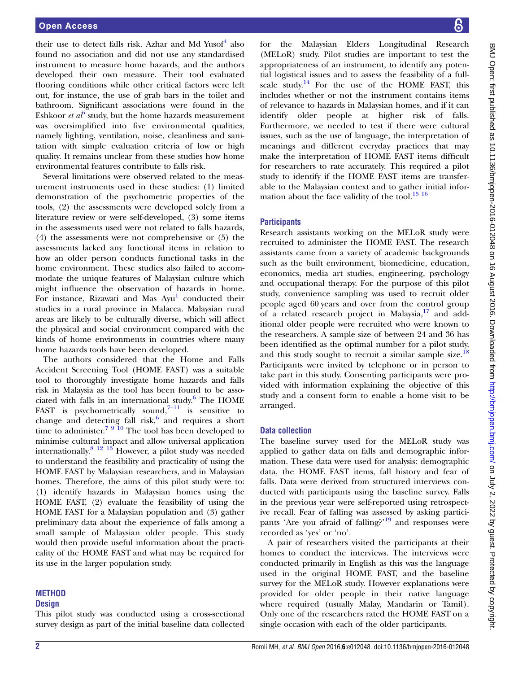their use to detect falls risk. Azhar and Md Yusof $4$  also found no association and did not use any standardised instrument to measure home hazards, and the authors developed their own measure. Their tool evaluated flooring conditions while other critical factors were left out, for instance, the use of grab bars in the toilet and bathroom. Significant associations were found in the Eshkoor *et a*<sup> $\bar{b}$ </sup> study, but the home hazards measurement was oversimplified into five environmental qualities, namely lighting, ventilation, noise, cleanliness and sanitation with simple evaluation criteria of low or high quality. It remains unclear from these studies how home environmental features contribute to falls risk.

Several limitations were observed related to the measurement instruments used in these studies: (1) limited demonstration of the psychometric properties of the tools, (2) the assessments were developed solely from a literature review or were self-developed, (3) some items in the assessments used were not related to falls hazards, (4) the assessments were not comprehensive or (5) the assessments lacked any functional items in relation to how an older person conducts functional tasks in the home environment. These studies also failed to accommodate the unique features of Malaysian culture which might influence the observation of hazards in home. For instance, Rizawati and Mas  $A$ yu<sup>[1](#page-6-0)</sup> conducted their studies in a rural province in Malacca. Malaysian rural areas are likely to be culturally diverse, which will affect the physical and social environment compared with the kinds of home environments in countries where many home hazards tools have been developed.

The authors considered that the Home and Falls Accident Screening Tool (HOME FAST) was a suitable tool to thoroughly investigate home hazards and falls risk in Malaysia as the tool has been found to be associated with falls in an international study. $6$  The HOME FAST is psychometrically sound, $7-11$  $7-11$  is sensitive to change and detecting fall risk, $6$  and requires a short time to administer.<sup>[7 9 10](#page-6-0)</sup> The tool has been developed to minimise cultural impact and allow universal application internationally.<sup>8 12</sup> <sup>13</sup> However, a pilot study was needed to understand the feasibility and practicality of using the HOME FAST by Malaysian researchers, and in Malaysian homes. Therefore, the aims of this pilot study were to: (1) identify hazards in Malaysian homes using the HOME FAST, (2) evaluate the feasibility of using the HOME FAST for a Malaysian population and (3) gather preliminary data about the experience of falls among a small sample of Malaysian older people. This study would then provide useful information about the practicality of the HOME FAST and what may be required for its use in the larger population study.

## **METHOD**

#### **Design**

This pilot study was conducted using a cross-sectional survey design as part of the initial baseline data collected

for the Malaysian Elders Longitudinal Research (MELoR) study. Pilot studies are important to test the appropriateness of an instrument, to identify any potential logistical issues and to assess the feasibility of a full-scale study.<sup>[14](#page-6-0)</sup> For the use of the HOME FAST, this includes whether or not the instrument contains items of relevance to hazards in Malaysian homes, and if it can identify older people at higher risk of falls. Furthermore, we needed to test if there were cultural issues, such as the use of language, the interpretation of meanings and different everyday practices that may make the interpretation of HOME FAST items difficult for researchers to rate accurately. This required a pilot study to identify if the HOME FAST items are transferable to the Malaysian context and to gather initial infor-mation about the face validity of the tool.<sup>[15 16](#page-6-0)</sup>

## **Participants**

Research assistants working on the MELoR study were recruited to administer the HOME FAST. The research assistants came from a variety of academic backgrounds such as the built environment, biomedicine, education, economics, media art studies, engineering, psychology and occupational therapy. For the purpose of this pilot study, convenience sampling was used to recruit older people aged 60 years and over from the control group of a related research project in Malaysia,<sup>[17](#page-6-0)</sup> and additional older people were recruited who were known to the researchers. A sample size of between 24 and 36 has been identified as the optimal number for a pilot study, and this study sought to recruit a similar sample size.<sup>[18](#page-6-0)</sup> Participants were invited by telephone or in person to take part in this study. Consenting participants were provided with information explaining the objective of this study and a consent form to enable a home visit to be arranged.

#### Data collection

The baseline survey used for the MELoR study was applied to gather data on falls and demographic information. These data were used for analysis: demographic data, the HOME FAST items, fall history and fear of falls. Data were derived from structured interviews conducted with participants using the baseline survey. Falls in the previous year were self-reported using retrospective recall. Fear of falling was assessed by asking partici-pants 'Are you afraid of falling?'<sup>[19](#page-6-0)</sup> and responses were recorded as 'yes' or 'no'.

A pair of researchers visited the participants at their homes to conduct the interviews. The interviews were conducted primarily in English as this was the language used in the original HOME FAST, and the baseline survey for the MELoR study. However explanations were provided for older people in their native language where required (usually Malay, Mandarin or Tamil). Only one of the researchers rated the HOME FAST on a single occasion with each of the older participants.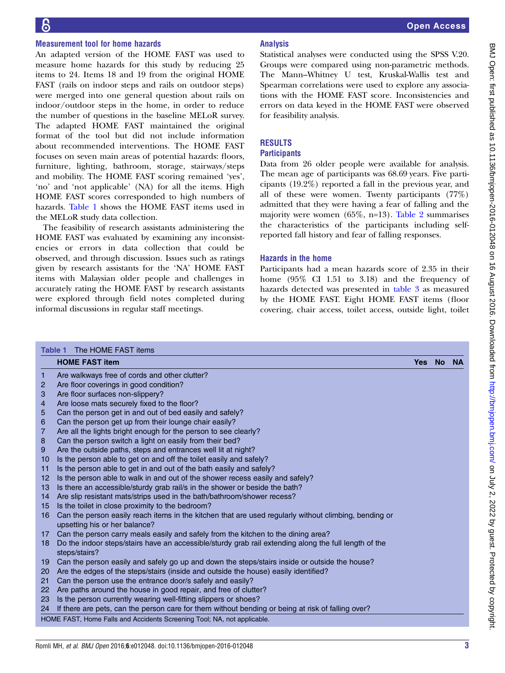#### Measurement tool for home hazards

An adapted version of the HOME FAST was used to measure home hazards for this study by reducing 25 items to 24. Items 18 and 19 from the original HOME FAST (rails on indoor steps and rails on outdoor steps) were merged into one general question about rails on indoor/outdoor steps in the home, in order to reduce the number of questions in the baseline MELoR survey. The adapted HOME FAST maintained the original format of the tool but did not include information about recommended interventions. The HOME FAST focuses on seven main areas of potential hazards: floors, furniture, lighting, bathroom, storage, stairways/steps and mobility. The HOME FAST scoring remained 'yes', 'no' and 'not applicable' (NA) for all the items. High HOME FAST scores corresponded to high numbers of hazards. Table 1 shows the HOME FAST items used in the MELoR study data collection.

The feasibility of research assistants administering the HOME FAST was evaluated by examining any inconsistencies or errors in data collection that could be observed, and through discussion. Issues such as ratings given by research assistants for the 'NA' HOME FAST items with Malaysian older people and challenges in accurately rating the HOME FAST by research assistants were explored through field notes completed during informal discussions in regular staff meetings.

## Open Access

# Analysis

Statistical analyses were conducted using the SPSS V.20. Groups were compared using non-parametric methods. The Mann–Whitney U test, Kruskal-Wallis test and Spearman correlations were used to explore any associations with the HOME FAST score. Inconsistencies and errors on data keyed in the HOME FAST were observed for feasibility analysis.

## RESULTS

## **Participants**

Data from 26 older people were available for analysis. The mean age of participants was 68.69 years. Five participants (19.2%) reported a fall in the previous year, and all of these were women. Twenty participants (77%) admitted that they were having a fear of falling and the majority were women (65%, n=13). [Table 2](#page-3-0) summarises the characteristics of the participants including selfreported fall history and fear of falling responses.

#### Hazards in the home

Participants had a mean hazards score of 2.35 in their home (95% CI 1.51 to 3.18) and the frequency of hazards detected was presented in [table 3](#page-3-0) as measured by the HOME FAST. Eight HOME FAST items (floor covering, chair access, toilet access, outside light, toilet

| The HOME FAST items<br>Table 1 |                                                                                                                        |     |           |           |  |  |  |
|--------------------------------|------------------------------------------------------------------------------------------------------------------------|-----|-----------|-----------|--|--|--|
|                                | <b>HOME FAST item</b>                                                                                                  | Yes | <b>No</b> | <b>NA</b> |  |  |  |
| 1                              | Are walkways free of cords and other clutter?                                                                          |     |           |           |  |  |  |
| 2                              | Are floor coverings in good condition?                                                                                 |     |           |           |  |  |  |
| 3                              | Are floor surfaces non-slippery?                                                                                       |     |           |           |  |  |  |
| 4                              | Are loose mats securely fixed to the floor?                                                                            |     |           |           |  |  |  |
| 5                              | Can the person get in and out of bed easily and safely?                                                                |     |           |           |  |  |  |
| 6                              | Can the person get up from their lounge chair easily?                                                                  |     |           |           |  |  |  |
| $\overline{7}$                 | Are all the lights bright enough for the person to see clearly?                                                        |     |           |           |  |  |  |
| 8                              | Can the person switch a light on easily from their bed?                                                                |     |           |           |  |  |  |
| 9                              | Are the outside paths, steps and entrances well lit at night?                                                          |     |           |           |  |  |  |
| 10                             | Is the person able to get on and off the toilet easily and safely?                                                     |     |           |           |  |  |  |
| 11                             | Is the person able to get in and out of the bath easily and safely?                                                    |     |           |           |  |  |  |
| 12                             | Is the person able to walk in and out of the shower recess easily and safely?                                          |     |           |           |  |  |  |
| 13                             | Is there an accessible/sturdy grab rail/s in the shower or beside the bath?                                            |     |           |           |  |  |  |
| 14                             | Are slip resistant mats/strips used in the bath/bathroom/shower recess?                                                |     |           |           |  |  |  |
| 15                             | Is the toilet in close proximity to the bedroom?                                                                       |     |           |           |  |  |  |
| 16                             | Can the person easily reach items in the kitchen that are used regularly without climbing, bending or                  |     |           |           |  |  |  |
|                                | upsetting his or her balance?                                                                                          |     |           |           |  |  |  |
| 17                             | Can the person carry meals easily and safely from the kitchen to the dining area?                                      |     |           |           |  |  |  |
| 18                             | Do the indoor steps/stairs have an accessible/sturdy grab rail extending along the full length of the<br>steps/stairs? |     |           |           |  |  |  |
| 19                             | Can the person easily and safely go up and down the steps/stairs inside or outside the house?                          |     |           |           |  |  |  |
| 20                             | Are the edges of the steps/stairs (inside and outside the house) easily identified?                                    |     |           |           |  |  |  |
| 21                             | Can the person use the entrance door/s safely and easily?                                                              |     |           |           |  |  |  |
| 22                             | Are paths around the house in good repair, and free of clutter?                                                        |     |           |           |  |  |  |
| 23                             | Is the person currently wearing well-fitting slippers or shoes?                                                        |     |           |           |  |  |  |
| 24                             | If there are pets, can the person care for them without bending or being at risk of falling over?                      |     |           |           |  |  |  |
|                                | HOME FAST, Home Falls and Accidents Screening Tool; NA, not applicable.                                                |     |           |           |  |  |  |
|                                |                                                                                                                        |     |           |           |  |  |  |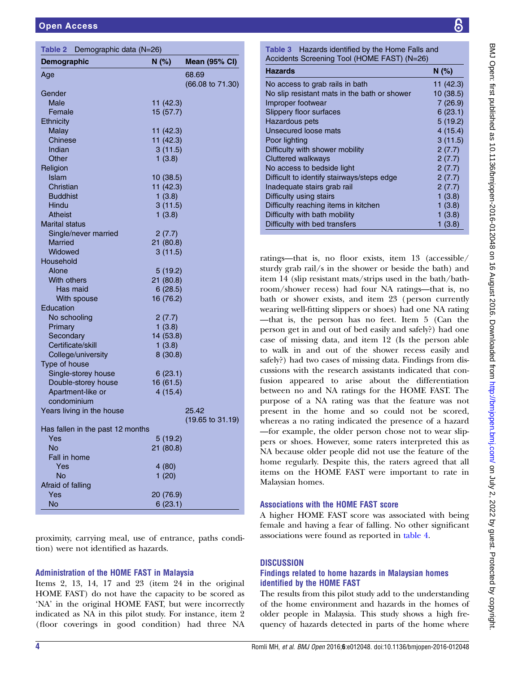<span id="page-3-0"></span>

| Table 2 Demographic data (N=26)  |                      |                             |  |  |  |  |  |
|----------------------------------|----------------------|-----------------------------|--|--|--|--|--|
| <b>Demographic</b>               | N(%)                 | <b>Mean (95% CI)</b>        |  |  |  |  |  |
| Age                              |                      | 68.69                       |  |  |  |  |  |
|                                  |                      | (66.08 to 71.30)            |  |  |  |  |  |
| Gender                           |                      |                             |  |  |  |  |  |
| Male                             | 11 (42.3)            |                             |  |  |  |  |  |
| Female                           | 15 (57.7)            |                             |  |  |  |  |  |
| <b>Ethnicity</b>                 |                      |                             |  |  |  |  |  |
| <b>Malay</b>                     | 11 (42.3)            |                             |  |  |  |  |  |
| Chinese<br>Indian                | 11 (42.3)<br>3(11.5) |                             |  |  |  |  |  |
| Other                            | 1(3.8)               |                             |  |  |  |  |  |
| Religion                         |                      |                             |  |  |  |  |  |
| Islam                            | 10 (38.5)            |                             |  |  |  |  |  |
| Christian                        | 11 (42.3)            |                             |  |  |  |  |  |
| <b>Buddhist</b>                  | 1(3.8)               |                             |  |  |  |  |  |
| Hindu                            | 3(11.5)              |                             |  |  |  |  |  |
| Atheist                          | 1(3.8)               |                             |  |  |  |  |  |
| <b>Marital status</b>            |                      |                             |  |  |  |  |  |
| Single/never married             | 2(7.7)               |                             |  |  |  |  |  |
| Married                          | 21 (80.8)            |                             |  |  |  |  |  |
| Widowed                          | 3(11.5)              |                             |  |  |  |  |  |
| Household                        |                      |                             |  |  |  |  |  |
| Alone                            | 5(19.2)              |                             |  |  |  |  |  |
| With others                      | 21 (80.8)            |                             |  |  |  |  |  |
| Has maid                         | 6(28.5)              |                             |  |  |  |  |  |
| With spouse                      | 16 (76.2)            |                             |  |  |  |  |  |
| Education                        |                      |                             |  |  |  |  |  |
| No schooling                     | 2(7.7)               |                             |  |  |  |  |  |
| Primary                          | 1(3.8)               |                             |  |  |  |  |  |
| Secondary                        | 14 (53.8)            |                             |  |  |  |  |  |
| Certificate/skill                | 1(3.8)               |                             |  |  |  |  |  |
| College/university               | 8(30.8)              |                             |  |  |  |  |  |
| Type of house                    |                      |                             |  |  |  |  |  |
| Single-storey house              | 6(23.1)              |                             |  |  |  |  |  |
| Double-storey house              | 16 (61.5)            |                             |  |  |  |  |  |
| Apartment-like or                | 4(15.4)              |                             |  |  |  |  |  |
| condominium                      |                      |                             |  |  |  |  |  |
| Years living in the house        |                      | 25.42                       |  |  |  |  |  |
| Has fallen in the past 12 months |                      | $(19.65 \text{ to } 31.19)$ |  |  |  |  |  |
| Yes                              | 5(19.2)              |                             |  |  |  |  |  |
| No                               | 21(80.8)             |                             |  |  |  |  |  |
| Fall in home                     |                      |                             |  |  |  |  |  |
| Yes                              | 4(80)                |                             |  |  |  |  |  |
| <b>No</b>                        | 1(20)                |                             |  |  |  |  |  |
| Afraid of falling                |                      |                             |  |  |  |  |  |
| Yes                              | 20 (76.9)            |                             |  |  |  |  |  |
| <b>No</b>                        | 6(23.1)              |                             |  |  |  |  |  |

proximity, carrying meal, use of entrance, paths condition) were not identified as hazards.

# Administration of the HOME FAST in Malaysia

Items 2, 13, 14, 17 and 23 (item 24 in the original HOME FAST) do not have the capacity to be scored as 'NA' in the original HOME FAST, but were incorrectly indicated as NA in this pilot study. For instance, item 2 (floor coverings in good condition) had three NA

Table 3 Hazards identified by the Home Falls and Accidents Screening Tool (HOME FAST) (N=26)

| <b>Hazards</b>                               | N(% )    |
|----------------------------------------------|----------|
| No access to grab rails in bath              | 11(42.3) |
| No slip resistant mats in the bath or shower | 10(38.5) |
| Improper footwear                            | 7(26.9)  |
| Slippery floor surfaces                      | 6(23.1)  |
| Hazardous pets                               | 5(19.2)  |
| Unsecured loose mats                         | 4(15.4)  |
| Poor lighting                                | 3(11.5)  |
| Difficulty with shower mobility              | 2(7.7)   |
| Cluttered walkways                           | 2(7.7)   |
| No access to bedside light                   | 2(7.7)   |
| Difficult to identify stairways/steps edge   | 2(7.7)   |
| Inadequate stairs grab rail                  | 2(7.7)   |
| Difficulty using stairs                      | 1(3.8)   |
| Difficulty reaching items in kitchen         | 1(3.8)   |
| Difficulty with bath mobility                | 1(3.8)   |
| Difficulty with bed transfers                | (3.8)    |

ratings—that is, no floor exists, item 13 (accessible/ sturdy grab rail/s in the shower or beside the bath) and item 14 (slip resistant mats/strips used in the bath/bathroom/shower recess) had four NA ratings—that is, no bath or shower exists, and item 23 (person currently wearing well-fitting slippers or shoes) had one NA rating —that is, the person has no feet. Item 5 (Can the person get in and out of bed easily and safely?) had one case of missing data, and item 12 (Is the person able to walk in and out of the shower recess easily and safely?) had two cases of missing data. Findings from discussions with the research assistants indicated that confusion appeared to arise about the differentiation between no and NA ratings for the HOME FAST. The purpose of a NA rating was that the feature was not present in the home and so could not be scored, whereas a no rating indicated the presence of a hazard —for example, the older person chose not to wear slippers or shoes. However, some raters interpreted this as NA because older people did not use the feature of the home regularly. Despite this, the raters agreed that all items on the HOME FAST were important to rate in Malaysian homes.

## Associations with the HOME FAST score

A higher HOME FAST score was associated with being female and having a fear of falling. No other significant associations were found as reported in [table 4](#page-4-0).

# **DISCUSSION**

## Findings related to home hazards in Malaysian homes identified by the HOME FAST

The results from this pilot study add to the understanding of the home environment and hazards in the homes of older people in Malaysia. This study shows a high frequency of hazards detected in parts of the home where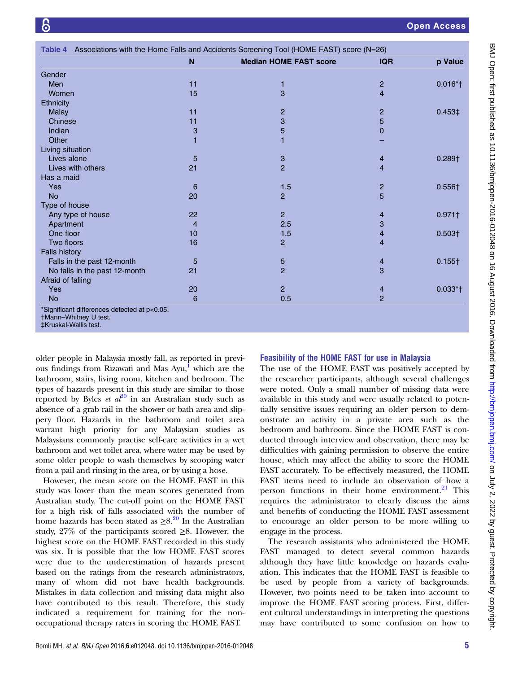<span id="page-4-0"></span>

|                               | N  | <b>Median HOME FAST score</b> | <b>IQR</b>     | p Value              |
|-------------------------------|----|-------------------------------|----------------|----------------------|
| Gender                        |    |                               |                |                      |
| Men                           | 11 | 1                             | $\overline{2}$ | $0.016*t$            |
| Women                         | 15 | 3                             | 4              |                      |
| Ethnicity                     |    |                               |                |                      |
| <b>Malay</b>                  | 11 | $\overline{2}$                | $\overline{2}$ | 0.453 <sup>†</sup>   |
| Chinese                       | 11 | 3                             | 5              |                      |
| Indian                        | 3  | 5                             | 0              |                      |
| Other                         |    |                               |                |                      |
| Living situation              |    |                               |                |                      |
| Lives alone                   | 5  | 3                             | 4              | 0.289 <sub>†</sub>   |
| Lives with others             | 21 | $\overline{2}$                | 4              |                      |
| Has a maid                    |    |                               |                |                      |
| Yes                           | 6  | 1.5                           | 2              | $0.556$ <sup>+</sup> |
| <b>No</b>                     | 20 | $\overline{2}$                | 5              |                      |
| Type of house                 |    |                               |                |                      |
| Any type of house             | 22 | $\overline{2}$                | 4              | $0.971\dagger$       |
| Apartment                     | 4  | 2.5                           | 3              |                      |
| One floor                     | 10 | 1.5                           | 4              | $0.503+$             |
| Two floors                    | 16 | $\overline{2}$                | 4              |                      |
| Falls history                 |    |                               |                |                      |
| Falls in the past 12-month    | 5  | 5                             | 4              | $0.155\dagger$       |
| No falls in the past 12-month | 21 | $\overline{2}$                | 3              |                      |
| Afraid of falling             |    |                               |                |                      |
| Yes                           | 20 | $\overline{2}$                | 4              | $0.033*$ †           |
| <b>No</b>                     | 6  | 0.5                           | $\overline{2}$ |                      |

<sup>†</sup>Mann–Whitney U test.

older people in Malaysia mostly fall, as reported in previous findings from Rizawati and Mas  $A$ yu,<sup>1</sup> which are the bathroom, stairs, living room, kitchen and bedroom. The types of hazards present in this study are similar to those reported by Byles et  $a<sup>20</sup>$  $a<sup>20</sup>$  $a<sup>20</sup>$  in an Australian study such as absence of a grab rail in the shower or bath area and slippery floor. Hazards in the bathroom and toilet area warrant high priority for any Malaysian studies as Malaysians commonly practise self-care activities in a wet bathroom and wet toilet area, where water may be used by some older people to wash themselves by scooping water from a pail and rinsing in the area, or by using a hose.

However, the mean score on the HOME FAST in this study was lower than the mean scores generated from Australian study. The cut-off point on the HOME FAST for a high risk of falls associated with the number of home hazards has been stated as  $\geq 8.20$  $\geq 8.20$  In the Australian study, 27% of the participants scored  $\geq 8$ . However, the highest score on the HOME FAST recorded in this study was six. It is possible that the low HOME FAST scores were due to the underestimation of hazards present based on the ratings from the research administrators, many of whom did not have health backgrounds. Mistakes in data collection and missing data might also have contributed to this result. Therefore, this study indicated a requirement for training for the nonoccupational therapy raters in scoring the HOME FAST.

## Feasibility of the HOME FAST for use in Malaysia

The use of the HOME FAST was positively accepted by the researcher participants, although several challenges were noted. Only a small number of missing data were available in this study and were usually related to potentially sensitive issues requiring an older person to demonstrate an activity in a private area such as the bedroom and bathroom. Since the HOME FAST is conducted through interview and observation, there may be difficulties with gaining permission to observe the entire house, which may affect the ability to score the HOME FAST accurately. To be effectively measured, the HOME FAST items need to include an observation of how a person functions in their home environment.<sup>[21](#page-6-0)</sup> This requires the administrator to clearly discuss the aims and benefits of conducting the HOME FAST assessment to encourage an older person to be more willing to engage in the process.

The research assistants who administered the HOME FAST managed to detect several common hazards although they have little knowledge on hazards evaluation. This indicates that the HOME FAST is feasible to be used by people from a variety of backgrounds. However, two points need to be taken into account to improve the HOME FAST scoring process. First, different cultural understandings in interpreting the questions may have contributed to some confusion on how to

<sup>‡</sup>Kruskal-Wallis test.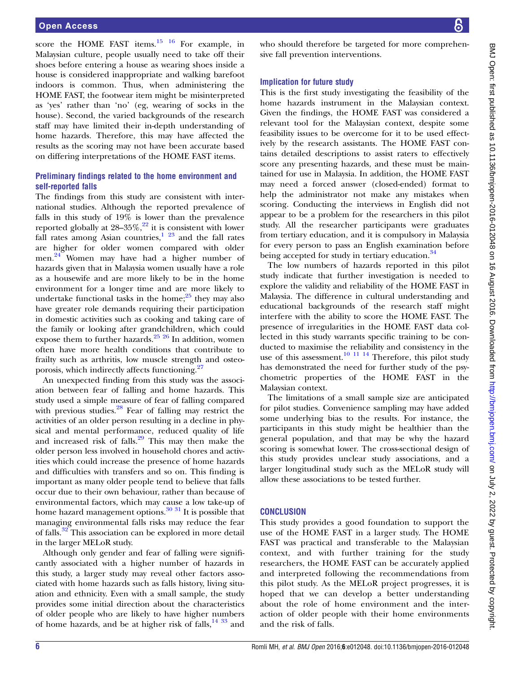score the HOME FAST items. $15 \text{ } 16$  For example, in Malaysian culture, people usually need to take off their shoes before entering a house as wearing shoes inside a house is considered inappropriate and walking barefoot indoors is common. Thus, when administering the HOME FAST, the footwear item might be misinterpreted as 'yes' rather than 'no' (eg, wearing of socks in the house). Second, the varied backgrounds of the research staff may have limited their in-depth understanding of home hazards. Therefore, this may have affected the results as the scoring may not have been accurate based on differing interpretations of the HOME FAST items.

#### Preliminary findings related to the home environment and self-reported falls

The findings from this study are consistent with international studies. Although the reported prevalence of falls in this study of 19% is lower than the prevalence reported globally at  $28-35\%$ ,  $22$  it is consistent with lower fall rates among Asian countries, $\frac{1}{2}$  and the fall rates are higher for older women compared with older men.<sup>[24](#page-6-0)</sup> Women may have had a higher number of hazards given that in Malaysia women usually have a role as a housewife and are more likely to be in the home environment for a longer time and are more likely to undertake functional tasks in the home; $^{25}$  they may also have greater role demands requiring their participation in domestic activities such as cooking and taking care of the family or looking after grandchildren, which could expose them to further hazards.<sup>[25 26](#page-6-0)</sup> In addition, women often have more health conditions that contribute to frailty such as arthritis, low muscle strength and osteo-porosis, which indirectly affects functioning.<sup>[27](#page-6-0)</sup>

An unexpected finding from this study was the association between fear of falling and home hazards. This study used a simple measure of fear of falling compared with previous studies.<sup>[28](#page-6-0)</sup> Fear of falling may restrict the activities of an older person resulting in a decline in physical and mental performance, reduced quality of life and increased risk of falls. $29$  This may then make the older person less involved in household chores and activities which could increase the presence of home hazards and difficulties with transfers and so on. This finding is important as many older people tend to believe that falls occur due to their own behaviour, rather than because of environmental factors, which may cause a low take-up of home hazard management options.<sup>[30 31](#page-6-0)</sup> It is possible that managing environmental falls risks may reduce the fear of falls.<sup>[32](#page-6-0)</sup> This association can be explored in more detail in the larger MELoR study.

Although only gender and fear of falling were significantly associated with a higher number of hazards in this study, a larger study may reveal other factors associated with home hazards such as falls history, living situation and ethnicity. Even with a small sample, the study provides some initial direction about the characteristics of older people who are likely to have higher numbers of home hazards, and be at higher risk of falls, $14^{33}$  and

who should therefore be targeted for more comprehensive fall prevention interventions.

#### Implication for future study

This is the first study investigating the feasibility of the home hazards instrument in the Malaysian context. Given the findings, the HOME FAST was considered a relevant tool for the Malaysian context, despite some feasibility issues to be overcome for it to be used effectively by the research assistants. The HOME FAST contains detailed descriptions to assist raters to effectively score any presenting hazards, and these must be maintained for use in Malaysia. In addition, the HOME FAST may need a forced answer (closed-ended) format to help the administrator not make any mistakes when scoring. Conducting the interviews in English did not appear to be a problem for the researchers in this pilot study. All the researcher participants were graduates from tertiary education, and it is compulsory in Malaysia for every person to pass an English examination before being accepted for study in tertiary education.<sup>[34](#page-6-0)</sup>

The low numbers of hazards reported in this pilot study indicate that further investigation is needed to explore the validity and reliability of the HOME FAST in Malaysia. The difference in cultural understanding and educational backgrounds of the research staff might interfere with the ability to score the HOME FAST. The presence of irregularities in the HOME FAST data collected in this study warrants specific training to be conducted to maximise the reliability and consistency in the use of this assessment.<sup>[10 11 14](#page-6-0)</sup> Therefore, this pilot study has demonstrated the need for further study of the psychometric properties of the HOME FAST in the Malaysian context.

The limitations of a small sample size are anticipated for pilot studies. Convenience sampling may have added some underlying bias to the results. For instance, the participants in this study might be healthier than the general population, and that may be why the hazard scoring is somewhat lower. The cross-sectional design of this study provides unclear study associations, and a larger longitudinal study such as the MELoR study will allow these associations to be tested further.

## **CONCLUSION**

This study provides a good foundation to support the use of the HOME FAST in a larger study. The HOME FAST was practical and transferable to the Malaysian context, and with further training for the study researchers, the HOME FAST can be accurately applied and interpreted following the recommendations from this pilot study. As the MELoR project progresses, it is hoped that we can develop a better understanding about the role of home environment and the interaction of older people with their home environments and the risk of falls.